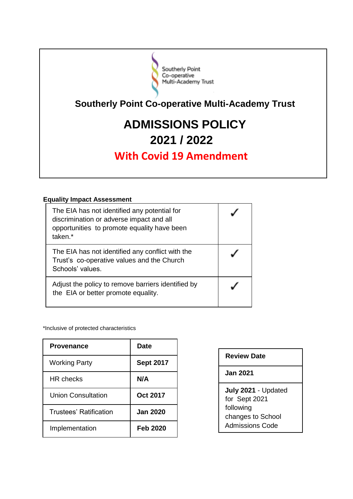

**Southerly Point Co-operative Multi-Academy Trust** 

# **ADMISSIONS POLICY 2021 / 2022**

# **With Covid 19 Amendment**

## **Equality Impact Assessment**

| The EIA has not identified any potential for<br>discrimination or adverse impact and all<br>opportunities to promote equality have been<br>taken.* |  |
|----------------------------------------------------------------------------------------------------------------------------------------------------|--|
| The EIA has not identified any conflict with the<br>Trust's co-operative values and the Church<br>Schools' values.                                 |  |
| Adjust the policy to remove barriers identified by<br>the EIA or better promote equality.                                                          |  |

\*Inclusive of protected characteristics

| <b>Provenance</b>      | Date             |
|------------------------|------------------|
| <b>Working Party</b>   | <b>Sept 2017</b> |
| HR checks              | N/A              |
| Union Consultation     | <b>Oct 2017</b>  |
| Trustees' Ratification | <b>Jan 2020</b>  |
| Implementation         | <b>Feb 2020</b>  |

### **Review Date**

**Jan 2021**

**July 2021** - Updated for Sept 2021 following changes to School Admissions Code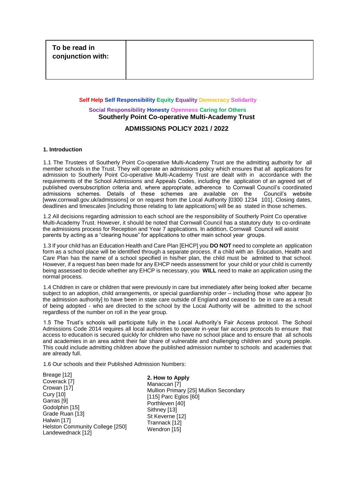# **Self Help Self Responsibility Equity Equality Democracy Solidarity Social Responsibility Honesty Openness Caring for Others Southerly Point Co-operative Multi-Academy Trust**

#### **ADMISSIONS POLICY 2021 / 2022**

#### **1. Introduction**

1.1 The Trustees of Southerly Point Co-operative Multi-Academy Trust are the admitting authority for all member schools in the Trust. They will operate an admissions policy which ensures that all applications for admission to Southerly Point Co-operative Multi-Academy Trust are dealt with in accordance with the requirements of the School Admissions and Appeals Codes, including the application of an agreed set of published oversubscription criteria and, where appropriate, adherence to Cornwall Council's coordinated admissions schemes. Details of these schemes are available on the Council's website [www.cornwall.gov.uk/admissions] or on request from the Local Authority [0300 1234 101]. Closing dates, deadlines and timescales [including those relating to late applications] will be as stated in those schemes.

1.2 All decisions regarding admission to each school are the responsibility of Southerly Point Co operative Multi-Academy Trust. However, it should be noted that Cornwall Council has a statutory duty to co-ordinate the admissions process for Reception and Year 7 applications. In addition, Cornwall Council will assist parents by acting as a "clearing house" for applications to other main school year groups.

1.3 If your child has an Education Health and Care Plan [EHCP] you **DO NOT** need to complete an application form as a school place will be identified through a separate process. If a child with an Education, Health and Care Plan has the name of a school specified in his/her plan, the child must be admitted to that school. However, if a request has been made for any EHCP needs assessment for your child or your child is currently being assessed to decide whether any EHCP is necessary, you **WILL** need to make an application using the normal process.

1.4 Children in care or children that were previously in care but immediately after being looked after became subject to an adoption, child arrangements, or special guardianship order – including those who appear [to the admission authority] to have been in state care outside of England and ceased to be in care as a result of being adopted - who are directed to the school by the Local Authority will be admitted to the school regardless of the number on roll in the year group.

1.5 The Trust's schools will participate fully in the Local Authority's Fair Access protocol. The School Admissions Code 2014 requires all local authorities to operate in-year fair access protocols to ensure that access to education is secured quickly for children who have no school place and to ensure that all schools and academies in an area admit their fair share of vulnerable and challenging children and young people. This could include admitting children above the published admission number to schools and academies that are already full.

1.6 Our schools and their Published Admission Numbers:

Breage [12] Coverack [7] Crowan [17] Cury [10] Garras [9] Godolphin [15] Grade Ruan [13] Halwin [17] Helston Community College [250] Landewednack [12]

**2. How to Apply**  Manaccan [7] Mullion Primary [25] Mullion Secondary [115] Parc Eglos [60] Porthleven [40] Sithney [13] St Keverne [12] Trannack [12] Wendron [15]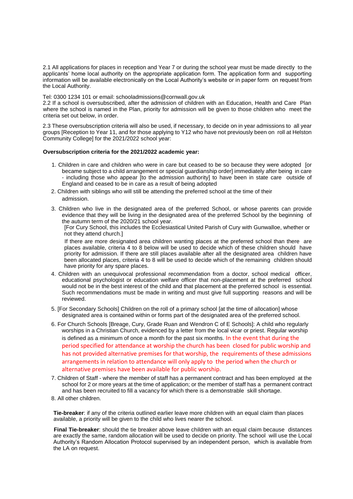2.1 All applications for places in reception and Year 7 or during the school year must be made directly to the applicants' home local authority on the appropriate application form. The application form and supporting information will be available electronically on the Local Authority's website or in paper form on request from the Local Authority.

Tel: 0300 1234 101 or email: schooladmissions@cornwall.gov.uk

2.2 If a school is oversubscribed, after the admission of children with an Education, Health and Care Plan where the school is named in the Plan, priority for admission will be given to those children who meet the criteria set out below, in order.

2.3 These oversubscription criteria will also be used, if necessary, to decide on in year admissions to all year groups [Reception to Year 11, and for those applying to Y12 who have not previously been on roll at Helston Community College] for the 2021/2022 school year:

#### **Oversubscription criteria for the 2021/2022 academic year:**

- 1. Children in care and children who were in care but ceased to be so because they were adopted [or became subject to a child arrangement or special guardianship order] immediately after being in care - including those who appear [to the admission authority] to have been in state care outside of England and ceased to be in care as a result of being adopted
- 2. Children with siblings who will still be attending the preferred school at the time of their admission.
- 3. Children who live in the designated area of the preferred School, or whose parents can provide evidence that they will be living in the designated area of the preferred School by the beginning of the autumn term of the 2020/21 school year.

[For Cury School, this includes the Ecclesiastical United Parish of Cury with Gunwalloe, whether or not they attend church.]

If there are more designated area children wanting places at the preferred school than there are places available, criteria 4 to 8 below will be used to decide which of these children should have priority for admission. If there are still places available after all the designated area children have been allocated places, criteria 4 to 8 will be used to decide which of the remaining children should have priority for any spare places.

- 4. Children with an unequivocal professional recommendation from a doctor, school medical officer, educational psychologist or education welfare officer that non-placement at the preferred school would not be in the best interest of the child and that placement at the preferred school is essential. Such recommendations must be made in writing and must give full supporting reasons and will be reviewed.
- 5. [For Secondary Schools] Children on the roll of a primary school [at the time of allocation] whose designated area is contained within or forms part of the designated area of the preferred school.
- 6. For Church Schools [Breage, Cury, Grade Ruan and Wendron C of E Schools]: A child who regularly worships in a Christian Church, evidenced by a letter from the local vicar or priest. Regular worship is defined as a minimum of once a month for the past six months. In the event that during the period specified for attendance at worship the church has been closed for public worship and has not provided alternative premises for that worship, the requirements of these admissions arrangements in relation to attendance will only apply to the period when the church or alternative premises have been available for public worship.
- 7. Children of Staff where the member of staff has a permanent contract and has been employed at the school for 2 or more years at the time of application; or the member of staff has a permanent contract and has been recruited to fill a vacancy for which there is a demonstrable skill shortage.
- 8. All other children.

**Tie-breaker**: if any of the criteria outlined earlier leave more children with an equal claim than places available, a priority will be given to the child who lives nearer the school.

**Final Tie-breaker**: should the tie breaker above leave children with an equal claim because distances are exactly the same, random allocation will be used to decide on priority. The school will use the Local Authority's Random Allocation Protocol supervised by an independent person, which is available from the LA on request.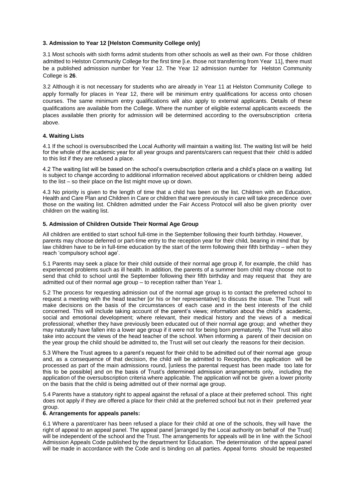#### **3. Admission to Year 12 [Helston Community College only]**

3.1 Most schools with sixth forms admit students from other schools as well as their own. For those children admitted to Helston Community College for the first time [i.e. those not transferring from Year 11], there must be a published admission number for Year 12. The Year 12 admission number for Helston Community College is **26**.

3.2 Although it is not necessary for students who are already in Year 11 at Helston Community College to apply formally for places in Year 12, there will be minimum entry qualifications for access onto chosen courses. The same minimum entry qualifications will also apply to external applicants. Details of these qualifications are available from the College. Where the number of eligible external applicants exceeds the places available then priority for admission will be determined according to the oversubscription criteria above.

#### **4. Waiting Lists**

4.1 If the school is oversubscribed the Local Authority will maintain a waiting list. The waiting list will be held for the whole of the academic year for all year groups and parents/carers can request that their child is added to this list if they are refused a place.

4.2 The waiting list will be based on the school's oversubscription criteria and a child's place on a waiting list is subject to change according to additional information received about applications or children being added to the list – so their place on the list might move up or down.

4.3 No priority is given to the length of time that a child has been on the list. Children with an Education, Health and Care Plan and Children in Care or children that were previously in care will take precedence over those on the waiting list. Children admitted under the Fair Access Protocol will also be given priority over children on the waiting list.

#### **5. Admission of Children Outside Their Normal Age Group**

All children are entitled to start school full-time in the September following their fourth birthday. However, parents may choose deferred or part-time entry to the reception year for their child, bearing in mind that by law children have to be in full-time education by the start of the term following their fifth birthday – when they reach 'compulsory school age'.

5.1 Parents may seek a place for their child outside of their normal age group if, for example, the child has experienced problems such as ill health. In addition, the parents of a summer born child may choose not to send that child to school until the September following their fifth birthday and may request that they are admitted out of their normal age group – to reception rather than Year 1.

5.2 The process for requesting admission out of the normal age group is to contact the preferred school to request a meeting with the head teacher [or his or her representative] to discuss the issue. The Trust will make decisions on the basis of the circumstances of each case and in the best interests of the child concerned. This will include taking account of the parent's views; information about the child's academic, social and emotional development; where relevant, their medical history and the views of a medical professional; whether they have previously been educated out of their normal age group; and whether they may naturally have fallen into a lower age group if it were not for being born prematurely. The Trust will also take into account the views of the head teacher of the school. When informing a parent of their decision on the year group the child should be admitted to, the Trust will set out clearly the reasons for their decision.

5.3 Where the Trust agrees to a parent's request for their child to be admitted out of their normal age group and, as a consequence of that decision, the child will be admitted to Reception, the application will be processed as part of the main admissions round, [unless the parental request has been made too late for this to be possible] and on the basis of Trust's determined admission arrangements only, including the application of the oversubscription criteria where applicable. The application will not be given a lower priority on the basis that the child is being admitted out of their normal age group.

5.4 Parents have a statutory right to appeal against the refusal of a place at their preferred school. This right does not apply if they are offered a place for their child at the preferred school but not in their preferred year group.

#### **6. Arrangements for appeals panels:**

6.1 Where a parent/carer has been refused a place for their child at one of the schools, they will have the right of appeal to an appeal panel. The appeal panel [arranged by the Local authority on behalf of the Trust] will be independent of the school and the Trust. The arrangements for appeals will be in line with the School Admission Appeals Code published by the department for Education. The determination of the appeal panel will be made in accordance with the Code and is binding on all parties. Appeal forms should be requested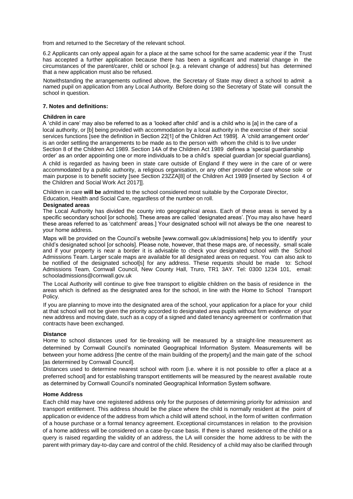from and returned to the Secretary of the relevant school.

6.2 Applicants can only appeal again for a place at the same school for the same academic year if the Trust has accepted a further application because there has been a significant and material change in the circumstances of the parent/carer, child or school [e.g. a relevant change of address] but has determined that a new application must also be refused.

Notwithstanding the arrangements outlined above, the Secretary of State may direct a school to admit a named pupil on application from any Local Authority. Before doing so the Secretary of State will consult the school in question.

#### **7. Notes and definitions:**

#### **Children in care**

A 'child in care' may also be referred to as a 'looked after child' and is a child who is [a] in the care of a local authority, or [b] being provided with accommodation by a local authority in the exercise of their social services functions [see the definition in Section 22[1] of the Children Act 1989]. A 'child arrangement order' is an order settling the arrangements to be made as to the person with whom the child is to live under Section 8 of the Children Act 1989. Section 14A of the Children Act 1989 defines a 'special guardianship order' as an order appointing one or more individuals to be a child's special guardian [or special guardians].

A child is regarded as having been in state care outside of England if they were in the care of or were accommodated by a public authority, a religious organisation, or any other provider of care whose sole or main purpose is to benefit society [see Section 23ZZA[8] of the Children Act 1989 [inserted by Section 4 of the Children and Social Work Act 2017]].

Children in care **will be** admitted to the school considered most suitable by the Corporate Director, Education, Health and Social Care, regardless of the number on roll.

#### **Designated areas**

The Local Authority has divided the county into geographical areas. Each of these areas is served by a specific secondary school [or schools]. These areas are called 'designated areas'. [You may also have heard these areas referred to as 'catchment' areas.] Your designated school will not always be the one nearest to your home address.

Maps will be provided on the Council's website [www.cornwall.gov.uk/admissions] help you to identify your child's designated school [or schools]. Please note, however, that these maps are, of necessity, small scale and if your property is near a border it is advisable to check your designated school with the School Admissions Team. Larger scale maps are available for all designated areas on request. You can also ask to be notified of the designated school[s] for any address. These requests should be made to: School Admissions Team, Cornwall Council, New County Hall, Truro, TR1 3AY. Tel: 0300 1234 101, email: schooladmissions@cornwall.gov.uk

The Local Authority will continue to give free transport to eligible children on the basis of residence in the areas which is defined as the designated area for the school, in line with the Home to School Transport Policy.

If you are planning to move into the designated area of the school, your application for a place for your child at that school will not be given the priority accorded to designated area pupils without firm evidence of your new address and moving date, such as a copy of a signed and dated tenancy agreement or confirmation that contracts have been exchanged.

#### **Distance**

Home to school distances used for tie-breaking will be measured by a straight-line measurement as determined by Cornwall Council's nominated Geographical Information System. Measurements will be between your home address [the centre of the main building of the property] and the main gate of the school [as determined by Cornwall Council].

Distances used to determine nearest school with room [i.e. where it is not possible to offer a place at a preferred school] and for establishing transport entitlements will be measured by the nearest available route as determined by Cornwall Council's nominated Geographical Information System software.

#### **Home Address**

Each child may have one registered address only for the purposes of determining priority for admission and transport entitlement. This address should be the place where the child is normally resident at the point of application or evidence of the address from which a child will attend school, in the form of written confirmation of a house purchase or a formal tenancy agreement. Exceptional circumstances in relation to the provision of a home address will be considered on a case-by-case basis. If there is shared residence of the child or a query is raised regarding the validity of an address, the LA will consider the home address to be with the parent with primary day-to-day care and control of the child. Residency of a child may also be clarified through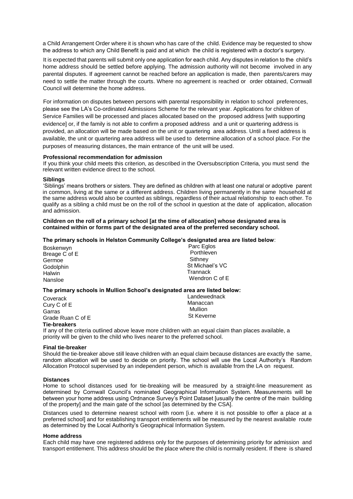a Child Arrangement Order where it is shown who has care of the child. Evidence may be requested to show the address to which any Child Benefit is paid and at which the child is registered with a doctor's surgery.

It is expected that parents will submit only one application for each child. Any disputes in relation to the child's home address should be settled before applying. The admission authority will not become involved in any parental disputes. If agreement cannot be reached before an application is made, then parents/carers may need to settle the matter through the courts. Where no agreement is reached or order obtained, Cornwall Council will determine the home address.

For information on disputes between persons with parental responsibility in relation to school preferences, please see the LA's Co-ordinated Admissions Scheme for the relevant year. Applications for children of Service Families will be processed and places allocated based on the proposed address [with supporting evidence] or, if the family is not able to confirm a proposed address and a unit or quartering address is provided, an allocation will be made based on the unit or quartering area address. Until a fixed address is available, the unit or quartering area address will be used to determine allocation of a school place. For the purposes of measuring distances, the main entrance of the unit will be used.

#### **Professional recommendation for admission**

If you think your child meets this criterion, as described in the Oversubscription Criteria, you must send the relevant written evidence direct to the school.

#### **Siblings**

'Siblings' means brothers or sisters. They are defined as children with at least one natural or adoptive parent in common, living at the same or a different address. Children living permanently in the same household at the same address would also be counted as siblings, regardless of their actual relationship to each other. To qualify as a sibling a child must be on the roll of the school in question at the date of application, allocation and admission.

#### **Children on the roll of a primary school [at the time of allocation] whose designated area is contained within or forms part of the designated area of the preferred secondary school.**

#### **The primary schools in Helston Community College's designated area are listed below**:

| Boskenwyn     | Parc Eglos      |
|---------------|-----------------|
| Breage C of E | Porthleven      |
| Germoe        | Sithney         |
| Godolphin     | St Michael's VC |
| Halwin        | Trannack        |
| Nansloe       | Wendron C of E  |
|               |                 |

#### **The primary schools in Mullion School's designated area are listed below:**

| Coverack          | Landewednack |
|-------------------|--------------|
| Cury C of E       | Manaccan     |
| Garras            | Mullion      |
| Grade Ruan C of E | St Keverne   |
| Tia-hraakare      |              |

#### **Tie-breakers**

If any of the criteria outlined above leave more children with an equal claim than places available, a priority will be given to the child who lives nearer to the preferred school.

#### **Final tie-breaker**

Should the tie-breaker above still leave children with an equal claim because distances are exactly the same, random allocation will be used to decide on priority. The school will use the Local Authority's Random Allocation Protocol supervised by an independent person, which is available from the LA on request.

#### **Distances**

Home to school distances used for tie-breaking will be measured by a straight-line measurement as determined by Cornwall Council's nominated Geographical Information System. Measurements will be between your home address using Ordnance Survey's Point Dataset [usually the centre of the main building of the property] and the main gate of the school [as determined by the CSA].

Distances used to determine nearest school with room [i.e. where it is not possible to offer a place at a preferred school] and for establishing transport entitlements will be measured by the nearest available route as determined by the Local Authority's Geographical Information System.

#### **Home address**

Each child may have one registered address only for the purposes of determining priority for admission and transport entitlement. This address should be the place where the child is normally resident. If there is shared